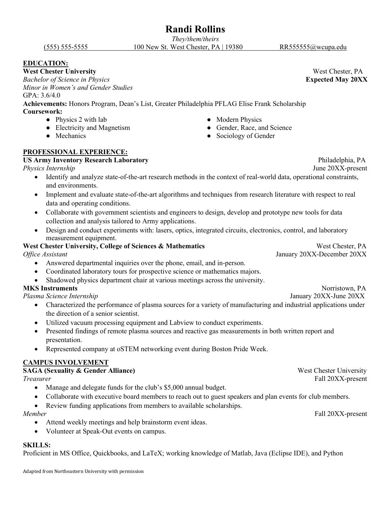### **Randi Rollins**

*They/them/theirs* (555) 555-5555 100 New St. West Chester, PA | 19380 [RR555555@wcupa.edu](mailto:RR555555@wcupa.edu)

### **EDUCATION:**

**West Chester University** West Chester, PA *Bachelor of Science in Physics* **Expected May 20XX** *Minor in Women's and Gender Studies*

### GPA: 3.6/4.0

**Achievements:** Honors Program, Dean's List, Greater Philadelphia PFLAG Elise Frank Scholarship **Coursework:**

- Physics 2 with lab Modern Physics
- Electricity and Magnetism Gender, Race, and Science
- 

### **PROFESSIONAL EXPERIENCE:**

### **US Army Inventory Research Laboratory** Philadelphia, PA

*Physics Internship* June 20XX-present

- Identify and analyze state-of-the-art research methods in the context of real-world data, operational constraints, and environments.
- Implement and evaluate state-of-the-art algorithms and techniques from research literature with respect to real data and operating conditions.
- Collaborate with government scientists and engineers to design, develop and prototype new tools for data collection and analysis tailored to Army applications.
- Design and conduct experiments with: lasers, optics, integrated circuits, electronics, control, and laboratory measurement equipment.

#### **West Chester University, College of Sciences & Mathematics West Chester, PA** *Office Assistant* January 20XX-December 20XX

- Answered departmental inquiries over the phone, email, and in-person.
- Coordinated laboratory tours for prospective science or mathematics majors.
- Shadowed physics department chair at various meetings across the university.

### **MKS Instruments** Norristown, PA

*Plasma Science Internship* January 20XX-June 20XX

- Characterized the performance of plasma sources for a variety of manufacturing and industrial applications under the direction of a senior scientist.
- Utilized vacuum processing equipment and Labview to conduct experiments.
- Presented findings of remote plasma sources and reactive gas measurements in both written report and presentation.
- Represented company at oSTEM networking event during Boston Pride Week.

### **CAMPUS INVOLVEMENT**

### **SAGA (Sexuality & Gender Alliance)** West Chester University *Treasurer* Fall 20XX-present

- Manage and delegate funds for the club's \$5,000 annual budget.
- Collaborate with executive board members to reach out to guest speakers and plan events for club members.
- Review funding applications from members to available scholarships.

- Attend weekly meetings and help brainstorm event ideas.
- Volunteer at Speak-Out events on campus.

### **SKILLS:**

Proficient in MS Office, Quickbooks, and LaTeX; working knowledge of Matlab, Java (Eclipse IDE), and Python

- 
- Mechanics Sociology of Gender

*Member* Fall 20XX-present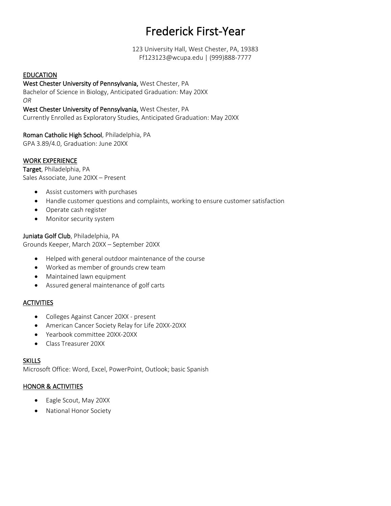### Frederick First-Year

123 University Hall, West Chester, PA, 19383 Ff123123@wcupa.edu | (999)888-7777

### EDUCATION

West Chester University of Pennsylvania, West Chester, PA

Bachelor of Science in Biology, Anticipated Graduation: May 20XX *OR*

West Chester University of Pennsylvania, West Chester, PA Currently Enrolled as Exploratory Studies, Anticipated Graduation: May 20XX

### Roman Catholic High School, Philadelphia, PA

GPA 3.89/4.0, Graduation: June 20XX

### WORK EXPERIENCE

Target, Philadelphia, PA Sales Associate, June 20XX – Present

- Assist customers with purchases
- Handle customer questions and complaints, working to ensure customer satisfaction
- Operate cash register
- Monitor security system

Juniata Golf Club, Philadelphia, PA Grounds Keeper, March 20XX – September 20XX

- Helped with general outdoor maintenance of the course
- Worked as member of grounds crew team
- Maintained lawn equipment
- Assured general maintenance of golf carts

### **ACTIVITIES**

- Colleges Against Cancer 20XX present
- American Cancer Society Relay for Life 20XX-20XX
- Yearbook committee 20XX-20XX
- Class Treasurer 20XX

### **SKILLS**

Microsoft Office: Word, Excel, PowerPoint, Outlook; basic Spanish

### HONOR & ACTIVITIES

- Eagle Scout, May 20XX
- National Honor Society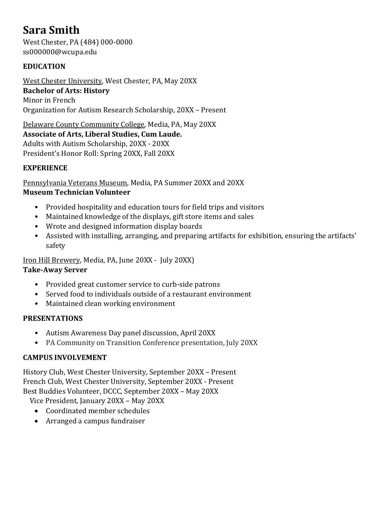### **Sara Smith**

West Chester, PA (484) 000-0000 ss000000@wcupa.edu

### **EDUCATION**

West Chester University, West Chester, PA, May 20XX **Bachelor of Arts: History** Minor in French Organization for Autism Research Scholarship, 20XX – Present

Delaware County Community College, Media, PA, May 20XX **Associate of Arts, Liberal Studies, Cum Laude.** Adults with Autism Scholarship, 20XX - 20XX President's Honor Roll: Spring 20XX, Fall 20XX

### **EXPERIENCE**

Pennsylvania Veterans Museum, Media, PA Summer 20XX and 20XX **Museum Technician Volunteer**

- Provided hospitality and education tours for field trips and visitors
- Maintained knowledge of the displays, gift store items and sales
- Wrote and designed information display boards
- Assisted with installing, arranging, and preparing artifacts for exhibition, ensuring the artifacts' safety

Iron Hill Brewery, Media, PA, June 20XX - July 20XX) **Take-Away Server**

- Provided great customer service to curb-side patrons
- Served food to individuals outside of a restaurant environment
- Maintained clean working environment

### **PRESENTATIONS**

- Autism Awareness Day panel discussion, April 20XX
- PA Community on Transition Conference presentation, July 20XX

### **CAMPUS INVOLVEMENT**

History Club, West Chester University, September 20XX – Present French Club, West Chester University, September 20XX - Present Best Buddies Volunteer, DCCC, September 20XX – May 20XX

- Vice President, January 20XX May 20XX
	- Coordinated member schedules
	- Arranged a campus fundraiser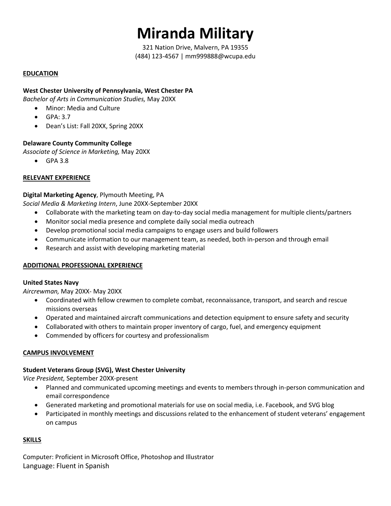# **Miranda Military**

321 Nation Drive, Malvern, PA 19355 (484) 123-4567 | mm999888@wcupa.edu

### **EDUCATION**

### **West Chester University of Pennsylvania, West Chester PA**

*Bachelor of Arts in Communication Studies,* May 20XX

- Minor: Media and Culture
- $\bullet$  GPA: 3.7
- Dean's List: Fall 20XX, Spring 20XX

### **Delaware County Community College**

*Associate of Science in Marketing,* May 20XX

 $\bullet$  GPA 3.8

### **RELEVANT EXPERIENCE**

### **Digital Marketing Agency**, Plymouth Meeting, PA

*Social Media & Marketing Intern*, June 20XX-September 20XX

- Collaborate with the marketing team on day-to-day social media management for multiple clients/partners
- Monitor social media presence and complete daily social media outreach
- Develop promotional social media campaigns to engage users and build followers
- Communicate information to our management team, as needed, both in-person and through email
- Research and assist with developing marketing material

### **ADDITIONAL PROFESSIONAL EXPERIENCE**

#### **United States Navy**

*Aircrewman,* May 20XX- May 20XX

- Coordinated with fellow crewmen to complete combat, reconnaissance, transport, and search and rescue missions overseas
- Operated and maintained aircraft communications and detection equipment to ensure safety and security
- Collaborated with others to maintain proper inventory of cargo, fuel, and emergency equipment
- Commended by officers for courtesy and professionalism

### **CAMPUS INVOLVEMENT**

### **Student Veterans Group (SVG), West Chester University**

*Vice President,* September 20XX-present

- Planned and communicated upcoming meetings and events to members through in-person communication and email correspondence
- Generated marketing and promotional materials for use on social media, i.e. Facebook, and SVG blog
- Participated in monthly meetings and discussions related to the enhancement of student veterans' engagement on campus

### **SKILLS**

Computer: Proficient in Microsoft Office, Photoshop and Illustrator Language: Fluent in Spanish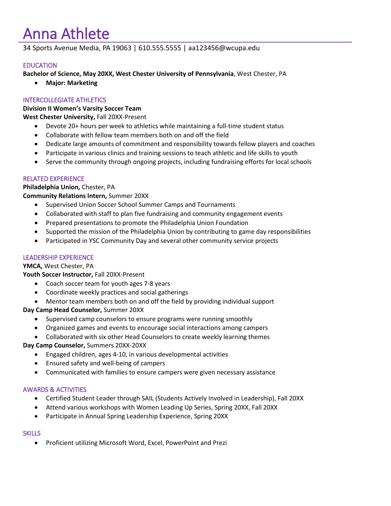# Anna Athlete

34 Sports Avenue Media, PA 19063 | 610.555.5555 | aa123456@wcupa.edu

### EDUCATION

**Bachelor of Science, May 20XX, West Chester University of Pennsylvania**, West Chester, PA

• **Major: Marketing**

### INTERCOLLEGIATE ATHLETICS

**Division II Women's Varsity Soccer Team**

**West Chester University,** Fall 20XX-Present

- Devote 20+ hours per week to athletics while maintaining a full-time student status
- Collaborate with fellow team members both on and off the field
- Dedicate large amounts of commitment and responsibility towards fellow players and coaches
- Participate in various clinics and training sessions to teach athletic and life skills to youth
- Serve the community through ongoing projects, including fundraising efforts for local schools

### RELATED EXPERIENCE

### **Philadelphia Union,** Chester, PA

**Community Relations Intern,** Summer 20XX

- Supervised Union Soccer School Summer Camps and Tournaments
- Collaborated with staff to plan five fundraising and community engagement events
- Prepared presentations to promote the Philadelphia Union Foundation
- Supported the mission of the Philadelphia Union by contributing to game day responsibilities
- Participated in YSC Community Day and several other community service projects

### LEADERSHIP EXPERIENCE

**YMCA,** West Chester, PA

**Youth Soccer Instructor,** Fall 20XX-Present

- Coach soccer team for youth ages 7-8 years
- Coordinate weekly practices and social gatherings
- Mentor team members both on and off the field by providing individual support

**Day Camp Head Counselor,** Summer 20XX

- Supervised camp counselors to ensure programs were running smoothly
- Organized games and events to encourage social interactions among campers
- Collaborated with six other Head Counselors to create weekly learning themes

**Day Camp Counselor,** Summers 20XX-20XX

- Engaged children, ages 4-10, in various developmental activities
- Ensured safety and well-being of campers
- Communicated with families to ensure campers were given necessary assistance

### AWARDS & ACTIVITIES

- Certified Student Leader through SAIL (Students Actively Involved in Leadership), Fall 20XX
- Attend various workshops with Women Leading Up Series, Spring 20XX, Fall 20XX
- Participate in Annual Spring Leadership Experience, Spring 20XX

### **SKILLS**

• Proficient utilizing Microsoft Word, Excel, PowerPoint and Prezi